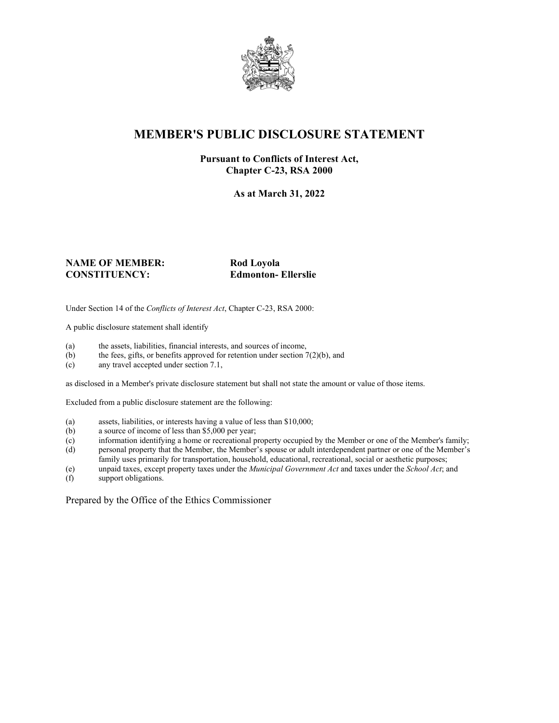

## **MEMBER'S PUBLIC DISCLOSURE STATEMENT**

#### **Pursuant to Conflicts of Interest Act, Chapter C-23, RSA 2000**

**As at March 31, 2022**

#### **NAME OF MEMBER:** Rod Loyola **CONSTITUENCY: Edmonton- Ellerslie**

Under Section 14 of the *Conflicts of Interest Act*, Chapter C-23, RSA 2000:

A public disclosure statement shall identify

- (a) the assets, liabilities, financial interests, and sources of income,  $(b)$  the fees, gifts, or benefits approved for retention under section 7
- the fees, gifts, or benefits approved for retention under section  $7(2)(b)$ , and
- (c) any travel accepted under section 7.1,

as disclosed in a Member's private disclosure statement but shall not state the amount or value of those items.

Excluded from a public disclosure statement are the following:

- (a) assets, liabilities, or interests having a value of less than \$10,000;
- (b) a source of income of less than \$5,000 per year;
- (c) information identifying a home or recreational property occupied by the Member or one of the Member's family;
- (d) personal property that the Member, the Member's spouse or adult interdependent partner or one of the Member's family uses primarily for transportation, household, educational, recreational, social or aesthetic purposes;
- (e) unpaid taxes, except property taxes under the *Municipal Government Act* and taxes under the *School Act*; and
- (f) support obligations.

Prepared by the Office of the Ethics Commissioner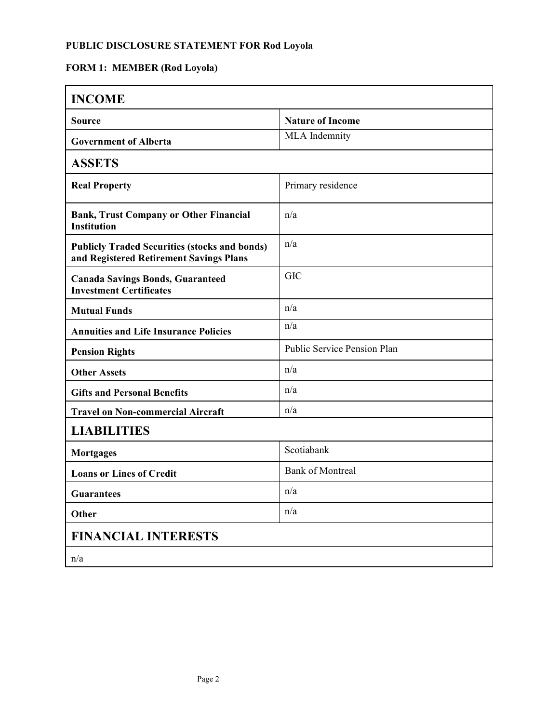### **PUBLIC DISCLOSURE STATEMENT FOR Rod Loyola**

# **FORM 1: MEMBER (Rod Loyola)**

| <b>INCOME</b>                                                                                   |                             |  |
|-------------------------------------------------------------------------------------------------|-----------------------------|--|
| <b>Source</b>                                                                                   | <b>Nature of Income</b>     |  |
| <b>Government of Alberta</b>                                                                    | MLA Indemnity               |  |
| <b>ASSETS</b>                                                                                   |                             |  |
| <b>Real Property</b>                                                                            | Primary residence           |  |
| <b>Bank, Trust Company or Other Financial</b><br><b>Institution</b>                             | n/a                         |  |
| <b>Publicly Traded Securities (stocks and bonds)</b><br>and Registered Retirement Savings Plans | n/a                         |  |
| <b>Canada Savings Bonds, Guaranteed</b><br><b>Investment Certificates</b>                       | <b>GIC</b>                  |  |
| <b>Mutual Funds</b>                                                                             | n/a                         |  |
| <b>Annuities and Life Insurance Policies</b>                                                    | n/a                         |  |
| <b>Pension Rights</b>                                                                           | Public Service Pension Plan |  |
| <b>Other Assets</b>                                                                             | n/a                         |  |
| <b>Gifts and Personal Benefits</b>                                                              | n/a                         |  |
| <b>Travel on Non-commercial Aircraft</b>                                                        | n/a                         |  |
| <b>LIABILITIES</b>                                                                              |                             |  |
| <b>Mortgages</b>                                                                                | Scotiabank                  |  |
| <b>Loans or Lines of Credit</b>                                                                 | <b>Bank of Montreal</b>     |  |
| <b>Guarantees</b>                                                                               | n/a                         |  |
| Other                                                                                           | n/a                         |  |
| <b>FINANCIAL INTERESTS</b>                                                                      |                             |  |
| n/a                                                                                             |                             |  |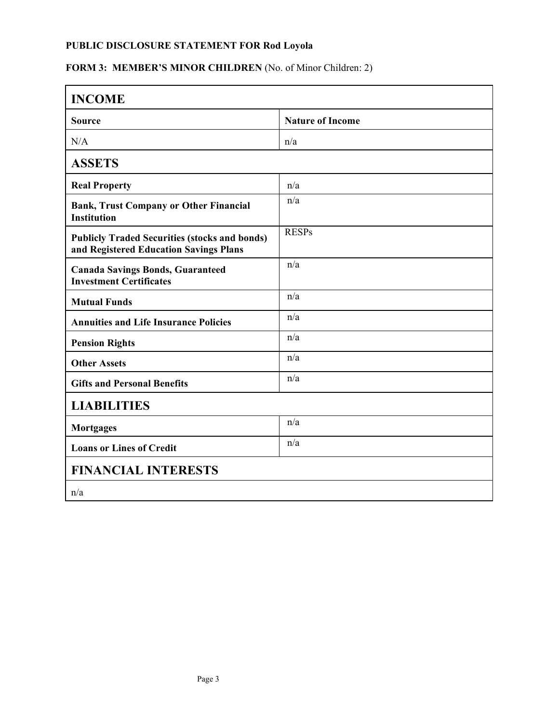### **PUBLIC DISCLOSURE STATEMENT FOR Rod Loyola**

# FORM 3: MEMBER'S MINOR CHILDREN (No. of Minor Children: 2)

| <b>INCOME</b>                                                                                  |                         |
|------------------------------------------------------------------------------------------------|-------------------------|
| <b>Source</b>                                                                                  | <b>Nature of Income</b> |
| N/A                                                                                            | n/a                     |
| <b>ASSETS</b>                                                                                  |                         |
| <b>Real Property</b>                                                                           | n/a                     |
| <b>Bank, Trust Company or Other Financial</b><br><b>Institution</b>                            | n/a                     |
| <b>Publicly Traded Securities (stocks and bonds)</b><br>and Registered Education Savings Plans | <b>RESPs</b>            |
| <b>Canada Savings Bonds, Guaranteed</b><br><b>Investment Certificates</b>                      | n/a                     |
| <b>Mutual Funds</b>                                                                            | n/a                     |
| <b>Annuities and Life Insurance Policies</b>                                                   | n/a                     |
| <b>Pension Rights</b>                                                                          | n/a                     |
| <b>Other Assets</b>                                                                            | n/a                     |
| <b>Gifts and Personal Benefits</b>                                                             | n/a                     |
| <b>LIABILITIES</b>                                                                             |                         |
| <b>Mortgages</b>                                                                               | n/a                     |
| <b>Loans or Lines of Credit</b>                                                                | n/a                     |
| <b>FINANCIAL INTERESTS</b>                                                                     |                         |
| n/a                                                                                            |                         |